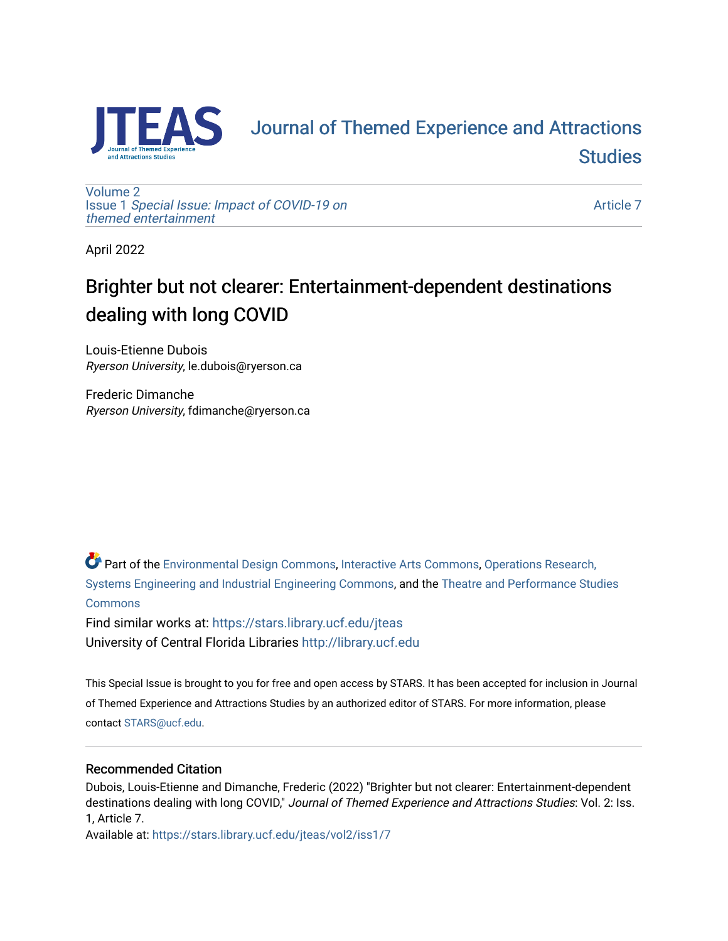

# [Journal of Themed Experience and Attractions](https://stars.library.ucf.edu/jteas)  **Studies**

[Volume 2](https://stars.library.ucf.edu/jteas/vol2) Issue 1 [Special Issue: Impact of COVID-19 on](https://stars.library.ucf.edu/jteas/vol2/iss1)  [themed entertainment](https://stars.library.ucf.edu/jteas/vol2/iss1) 

[Article 7](https://stars.library.ucf.edu/jteas/vol2/iss1/7) 

April 2022

## Brighter but not clearer: Entertainment-dependent destinations dealing with long COVID

Louis-Etienne Dubois Ryerson University, le.dubois@ryerson.ca

Frederic Dimanche Ryerson University, fdimanche@ryerson.ca

Part of the [Environmental Design Commons,](http://network.bepress.com/hgg/discipline/777?utm_source=stars.library.ucf.edu%2Fjteas%2Fvol2%2Fiss1%2F7&utm_medium=PDF&utm_campaign=PDFCoverPages) [Interactive Arts Commons](http://network.bepress.com/hgg/discipline/1136?utm_source=stars.library.ucf.edu%2Fjteas%2Fvol2%2Fiss1%2F7&utm_medium=PDF&utm_campaign=PDFCoverPages), [Operations Research,](http://network.bepress.com/hgg/discipline/305?utm_source=stars.library.ucf.edu%2Fjteas%2Fvol2%2Fiss1%2F7&utm_medium=PDF&utm_campaign=PDFCoverPages)  [Systems Engineering and Industrial Engineering Commons](http://network.bepress.com/hgg/discipline/305?utm_source=stars.library.ucf.edu%2Fjteas%2Fvol2%2Fiss1%2F7&utm_medium=PDF&utm_campaign=PDFCoverPages), and the [Theatre and Performance Studies](http://network.bepress.com/hgg/discipline/552?utm_source=stars.library.ucf.edu%2Fjteas%2Fvol2%2Fiss1%2F7&utm_medium=PDF&utm_campaign=PDFCoverPages)  **[Commons](http://network.bepress.com/hgg/discipline/552?utm_source=stars.library.ucf.edu%2Fjteas%2Fvol2%2Fiss1%2F7&utm_medium=PDF&utm_campaign=PDFCoverPages)** 

Find similar works at: <https://stars.library.ucf.edu/jteas> University of Central Florida Libraries [http://library.ucf.edu](http://library.ucf.edu/) 

This Special Issue is brought to you for free and open access by STARS. It has been accepted for inclusion in Journal of Themed Experience and Attractions Studies by an authorized editor of STARS. For more information, please contact [STARS@ucf.edu.](mailto:STARS@ucf.edu)

### Recommended Citation

Dubois, Louis-Etienne and Dimanche, Frederic (2022) "Brighter but not clearer: Entertainment-dependent destinations dealing with long COVID," Journal of Themed Experience and Attractions Studies: Vol. 2: Iss. 1, Article 7.

Available at: [https://stars.library.ucf.edu/jteas/vol2/iss1/7](https://stars.library.ucf.edu/jteas/vol2/iss1/7?utm_source=stars.library.ucf.edu%2Fjteas%2Fvol2%2Fiss1%2F7&utm_medium=PDF&utm_campaign=PDFCoverPages)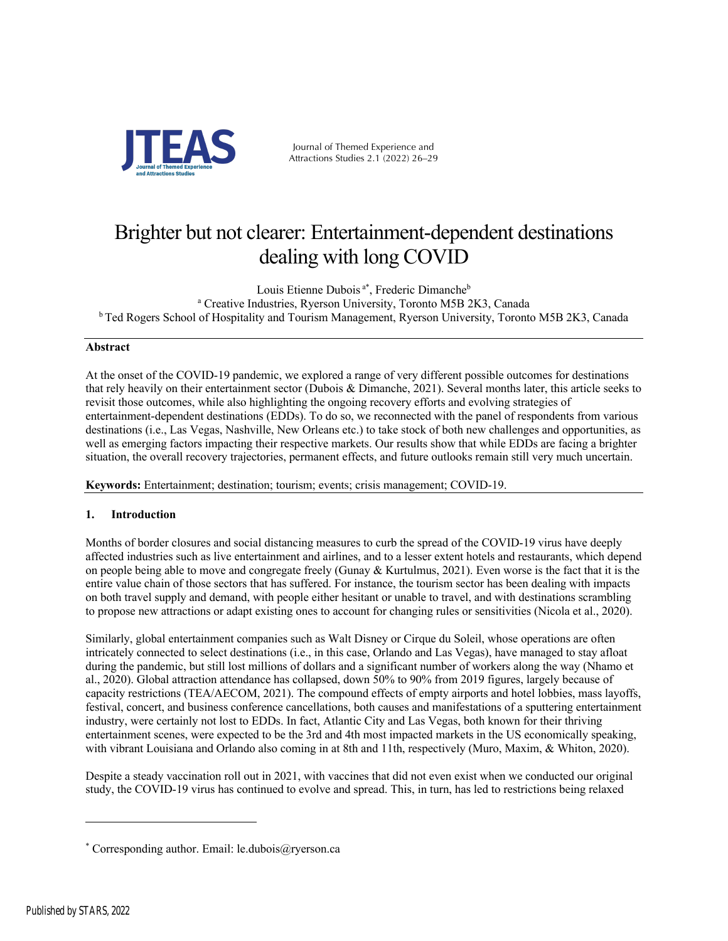

Journal of Themed Experience and Attractions Studies 2.1 (2022) 26–29

### Brighter but not clearer: Entertainment-dependent destinations dealing with long COVID

Louis Etienne Dubois<sup>a\*</sup>, Frederic Dimanche<sup>b</sup> <sup>a</sup> Creative Industries, Ryerson University, Toronto M5B 2K3, Canada <sup>b</sup> Ted Rogers School of Hospitality and Tourism Management, Ryerson University, Toronto M5B 2K3, Canada

### **Abstract**

At the onset of the COVID-19 pandemic, we explored a range of very different possible outcomes for destinations that rely heavily on their entertainment sector (Dubois & Dimanche, 2021). Several months later, this article seeks to revisit those outcomes, while also highlighting the ongoing recovery efforts and evolving strategies of entertainment-dependent destinations (EDDs). To do so, we reconnected with the panel of respondents from various destinations (i.e., Las Vegas, Nashville, New Orleans etc.) to take stock of both new challenges and opportunities, as well as emerging factors impacting their respective markets. Our results show that while EDDs are facing a brighter situation, the overall recovery trajectories, permanent effects, and future outlooks remain still very much uncertain.

**Keywords:** Entertainment; destination; tourism; events; crisis management; COVID-19.

### **1. Introduction**

Months of border closures and social distancing measures to curb the spread of the COVID-19 virus have deeply affected industries such as live entertainment and airlines, and to a lesser extent hotels and restaurants, which depend on people being able to move and congregate freely (Gunay & Kurtulmus, 2021). Even worse is the fact that it is the entire value chain of those sectors that has suffered. For instance, the tourism sector has been dealing with impacts on both travel supply and demand, with people either hesitant or unable to travel, and with destinations scrambling to propose new attractions or adapt existing ones to account for changing rules or sensitivities (Nicola et al., 2020).

Similarly, global entertainment companies such as Walt Disney or Cirque du Soleil, whose operations are often intricately connected to select destinations (i.e., in this case, Orlando and Las Vegas), have managed to stay afloat during the pandemic, but still lost millions of dollars and a significant number of workers along the way (Nhamo et al., 2020). Global attraction attendance has collapsed, down 50% to 90% from 2019 figures, largely because of capacity restrictions (TEA/AECOM, 2021). The compound effects of empty airports and hotel lobbies, mass layoffs, festival, concert, and business conference cancellations, both causes and manifestations of a sputtering entertainment industry, were certainly not lost to EDDs. In fact, Atlantic City and Las Vegas, both known for their thriving entertainment scenes, were expected to be the 3rd and 4th most impacted markets in the US economically speaking, with vibrant Louisiana and Orlando also coming in at 8th and 11th, respectively (Muro, Maxim, & Whiton, 2020).

Despite a steady vaccination roll out in 2021, with vaccines that did not even exist when we conducted our original study, the COVID-19 virus has continued to evolve and spread. This, in turn, has led to restrictions being relaxed

<sup>\*</sup> Corresponding author. Email: le.dubois@ryerson.ca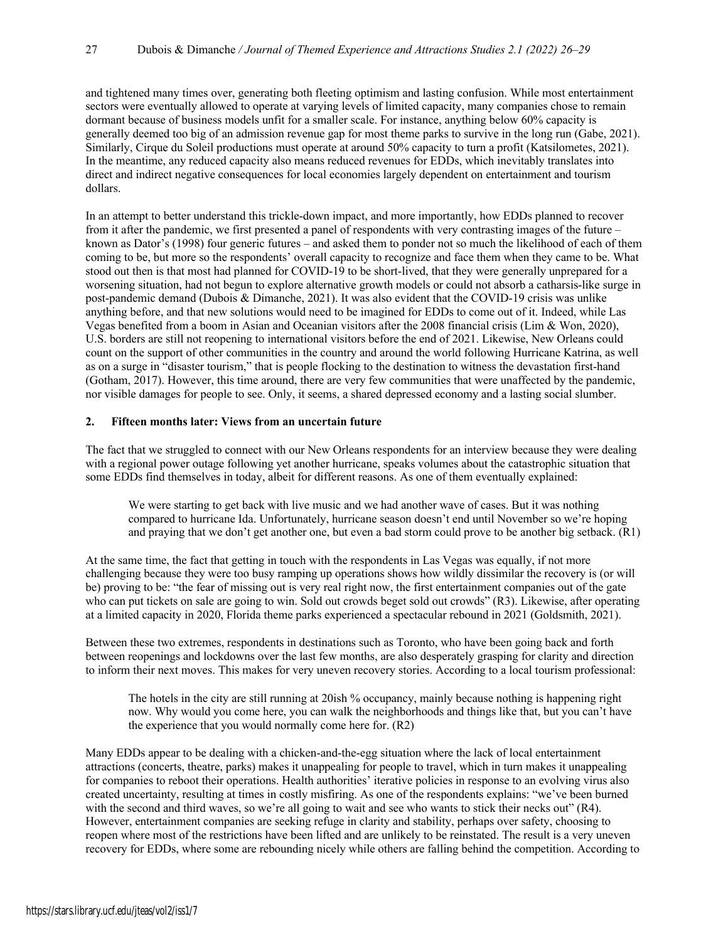and tightened many times over, generating both fleeting optimism and lasting confusion. While most entertainment sectors were eventually allowed to operate at varying levels of limited capacity, many companies chose to remain dormant because of business models unfit for a smaller scale. For instance, anything below 60% capacity is generally deemed too big of an admission revenue gap for most theme parks to survive in the long run (Gabe, 2021). Similarly, Cirque du Soleil productions must operate at around 50% capacity to turn a profit (Katsilometes, 2021). In the meantime, any reduced capacity also means reduced revenues for EDDs, which inevitably translates into direct and indirect negative consequences for local economies largely dependent on entertainment and tourism dollars.

In an attempt to better understand this trickle-down impact, and more importantly, how EDDs planned to recover from it after the pandemic, we first presented a panel of respondents with very contrasting images of the future – known as Dator's (1998) four generic futures – and asked them to ponder not so much the likelihood of each of them coming to be, but more so the respondents' overall capacity to recognize and face them when they came to be. What stood out then is that most had planned for COVID-19 to be short-lived, that they were generally unprepared for a worsening situation, had not begun to explore alternative growth models or could not absorb a catharsis-like surge in post-pandemic demand (Dubois & Dimanche, 2021). It was also evident that the COVID-19 crisis was unlike anything before, and that new solutions would need to be imagined for EDDs to come out of it. Indeed, while Las Vegas benefited from a boom in Asian and Oceanian visitors after the 2008 financial crisis (Lim & Won, 2020), U.S. borders are still not reopening to international visitors before the end of 2021. Likewise, New Orleans could count on the support of other communities in the country and around the world following Hurricane Katrina, as well as on a surge in "disaster tourism," that is people flocking to the destination to witness the devastation first-hand (Gotham, 2017). However, this time around, there are very few communities that were unaffected by the pandemic, nor visible damages for people to see. Only, it seems, a shared depressed economy and a lasting social slumber.

#### **2. Fifteen months later: Views from an uncertain future**

The fact that we struggled to connect with our New Orleans respondents for an interview because they were dealing with a regional power outage following yet another hurricane, speaks volumes about the catastrophic situation that some EDDs find themselves in today, albeit for different reasons. As one of them eventually explained:

We were starting to get back with live music and we had another wave of cases. But it was nothing compared to hurricane Ida. Unfortunately, hurricane season doesn't end until November so we're hoping and praying that we don't get another one, but even a bad storm could prove to be another big setback. (R1)

At the same time, the fact that getting in touch with the respondents in Las Vegas was equally, if not more challenging because they were too busy ramping up operations shows how wildly dissimilar the recovery is (or will be) proving to be: "the fear of missing out is very real right now, the first entertainment companies out of the gate who can put tickets on sale are going to win. Sold out crowds beget sold out crowds" (R3). Likewise, after operating at a limited capacity in 2020, Florida theme parks experienced a spectacular rebound in 2021 (Goldsmith, 2021).

Between these two extremes, respondents in destinations such as Toronto, who have been going back and forth between reopenings and lockdowns over the last few months, are also desperately grasping for clarity and direction to inform their next moves. This makes for very uneven recovery stories. According to a local tourism professional:

The hotels in the city are still running at 20ish % occupancy, mainly because nothing is happening right now. Why would you come here, you can walk the neighborhoods and things like that, but you can't have the experience that you would normally come here for. (R2)

Many EDDs appear to be dealing with a chicken-and-the-egg situation where the lack of local entertainment attractions (concerts, theatre, parks) makes it unappealing for people to travel, which in turn makes it unappealing for companies to reboot their operations. Health authorities' iterative policies in response to an evolving virus also created uncertainty, resulting at times in costly misfiring. As one of the respondents explains: "we've been burned with the second and third waves, so we're all going to wait and see who wants to stick their necks out" (R4). However, entertainment companies are seeking refuge in clarity and stability, perhaps over safety, choosing to reopen where most of the restrictions have been lifted and are unlikely to be reinstated. The result is a very uneven recovery for EDDs, where some are rebounding nicely while others are falling behind the competition. According to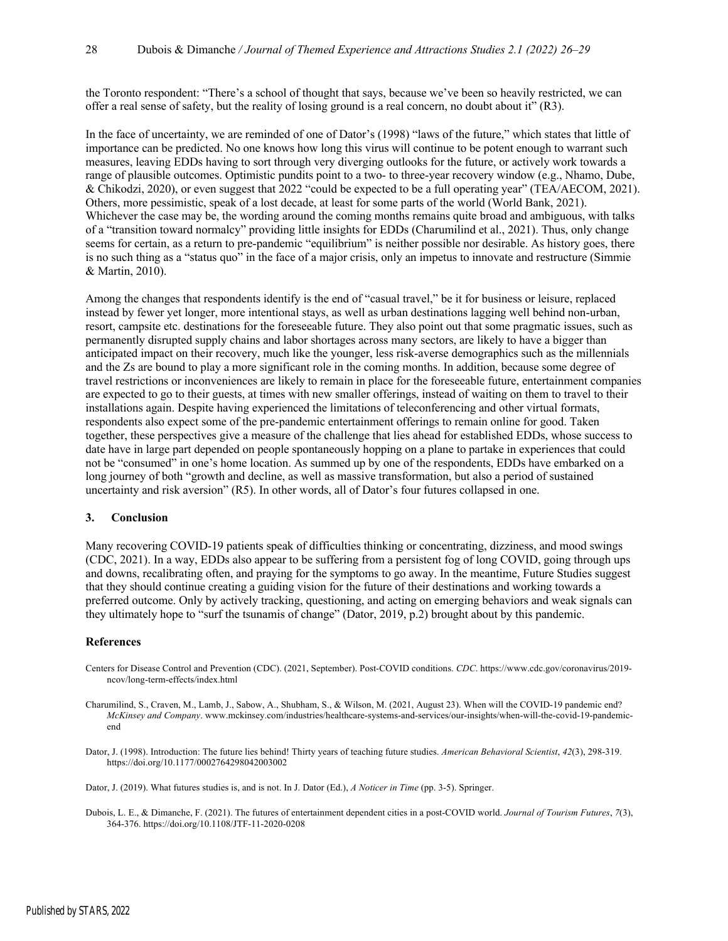the Toronto respondent: "There's a school of thought that says, because we've been so heavily restricted, we can offer a real sense of safety, but the reality of losing ground is a real concern, no doubt about it" (R3).

In the face of uncertainty, we are reminded of one of Dator's (1998) "laws of the future," which states that little of importance can be predicted. No one knows how long this virus will continue to be potent enough to warrant such measures, leaving EDDs having to sort through very diverging outlooks for the future, or actively work towards a range of plausible outcomes. Optimistic pundits point to a two- to three-year recovery window (e.g., Nhamo, Dube, & Chikodzi, 2020), or even suggest that 2022 "could be expected to be a full operating year" (TEA/AECOM, 2021). Others, more pessimistic, speak of a lost decade, at least for some parts of the world (World Bank, 2021). Whichever the case may be, the wording around the coming months remains quite broad and ambiguous, with talks of a "transition toward normalcy" providing little insights for EDDs (Charumilind et al., 2021). Thus, only change seems for certain, as a return to pre-pandemic "equilibrium" is neither possible nor desirable. As history goes, there is no such thing as a "status quo" in the face of a major crisis, only an impetus to innovate and restructure (Simmie & Martin, 2010).

Among the changes that respondents identify is the end of "casual travel," be it for business or leisure, replaced instead by fewer yet longer, more intentional stays, as well as urban destinations lagging well behind non-urban, resort, campsite etc. destinations for the foreseeable future. They also point out that some pragmatic issues, such as permanently disrupted supply chains and labor shortages across many sectors, are likely to have a bigger than anticipated impact on their recovery, much like the younger, less risk-averse demographics such as the millennials and the Zs are bound to play a more significant role in the coming months. In addition, because some degree of travel restrictions or inconveniences are likely to remain in place for the foreseeable future, entertainment companies are expected to go to their guests, at times with new smaller offerings, instead of waiting on them to travel to their installations again. Despite having experienced the limitations of teleconferencing and other virtual formats, respondents also expect some of the pre-pandemic entertainment offerings to remain online for good. Taken together, these perspectives give a measure of the challenge that lies ahead for established EDDs, whose success to date have in large part depended on people spontaneously hopping on a plane to partake in experiences that could not be "consumed" in one's home location. As summed up by one of the respondents, EDDs have embarked on a long journey of both "growth and decline, as well as massive transformation, but also a period of sustained uncertainty and risk aversion" (R5). In other words, all of Dator's four futures collapsed in one.

#### **3. Conclusion**

Many recovering COVID-19 patients speak of difficulties thinking or concentrating, dizziness, and mood swings (CDC, 2021). In a way, EDDs also appear to be suffering from a persistent fog of long COVID, going through ups and downs, recalibrating often, and praying for the symptoms to go away. In the meantime, Future Studies suggest that they should continue creating a guiding vision for the future of their destinations and working towards a preferred outcome. Only by actively tracking, questioning, and acting on emerging behaviors and weak signals can they ultimately hope to "surf the tsunamis of change" (Dator, 2019, p.2) brought about by this pandemic.

#### **References**

- Centers for Disease Control and Prevention (CDC). (2021, September). Post-COVID conditions. *CDC*. https://www.cdc.gov/coronavirus/2019 ncov/long-term-effects/index.html
- Charumilind, S., Craven, M., Lamb, J., Sabow, A., Shubham, S., & Wilson, M. (2021, August 23). When will the COVID-19 pandemic end? *McKinsey and Company*. www.mckinsey.com/industries/healthcare-systems-and-services/our-insights/when-will-the-covid-19-pandemicend
- Dator, J. (1998). Introduction: The future lies behind! Thirty years of teaching future studies. *American Behavioral Scientist*, *42*(3), 298-319. https://doi.org/10.1177/0002764298042003002

Dator, J. (2019). What futures studies is, and is not. In J. Dator (Ed.), *A Noticer in Time* (pp. 3-5). Springer.

Dubois, L. E., & Dimanche, F. (2021). The futures of entertainment dependent cities in a post-COVID world. *Journal of Tourism Futures*, *7*(3), 364-376. https://doi.org/10.1108/JTF-11-2020-0208